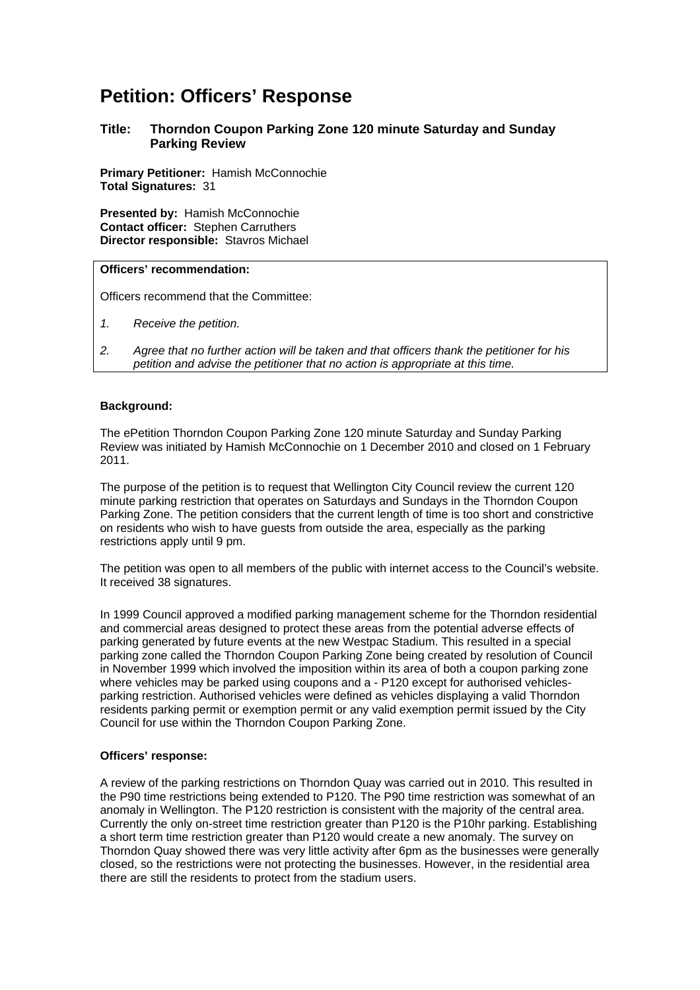# **Petition: Officers' Response**

## **Title: Thorndon Coupon Parking Zone 120 minute Saturday and Sunday Parking Review**

**Primary Petitioner:** Hamish McConnochie **Total Signatures:** 31

**Presented by:** Hamish McConnochie **Contact officer:** Stephen Carruthers **Director responsible:** Stavros Michael

### **Officers' recommendation:**

Officers recommend that the Committee:

- *1. Receive the petition.*
- *2. Agree that no further action will be taken and that officers thank the petitioner for his petition and advise the petitioner that no action is appropriate at this time.*

## **Background:**

The ePetition Thorndon Coupon Parking Zone 120 minute Saturday and Sunday Parking Review was initiated by Hamish McConnochie on 1 December 2010 and closed on 1 February 2011.

The purpose of the petition is to request that Wellington City Council review the current 120 minute parking restriction that operates on Saturdays and Sundays in the Thorndon Coupon Parking Zone. The petition considers that the current length of time is too short and constrictive on residents who wish to have guests from outside the area, especially as the parking restrictions apply until 9 pm.

The petition was open to all members of the public with internet access to the Council's website. It received 38 signatures.

In 1999 Council approved a modified parking management scheme for the Thorndon residential and commercial areas designed to protect these areas from the potential adverse effects of parking generated by future events at the new Westpac Stadium. This resulted in a special parking zone called the Thorndon Coupon Parking Zone being created by resolution of Council in November 1999 which involved the imposition within its area of both a coupon parking zone where vehicles may be parked using coupons and a - P120 except for authorised vehiclesparking restriction. Authorised vehicles were defined as vehicles displaying a valid Thorndon residents parking permit or exemption permit or any valid exemption permit issued by the City Council for use within the Thorndon Coupon Parking Zone.

#### **Officers' response:**

A review of the parking restrictions on Thorndon Quay was carried out in 2010. This resulted in the P90 time restrictions being extended to P120. The P90 time restriction was somewhat of an anomaly in Wellington. The P120 restriction is consistent with the majority of the central area. Currently the only on-street time restriction greater than P120 is the P10hr parking. Establishing a short term time restriction greater than P120 would create a new anomaly. The survey on Thorndon Quay showed there was very little activity after 6pm as the businesses were generally closed, so the restrictions were not protecting the businesses. However, in the residential area there are still the residents to protect from the stadium users.